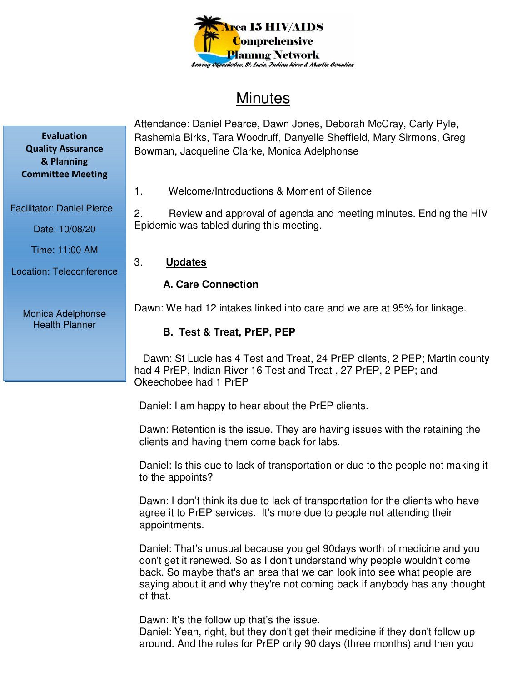

# **Minutes**

Attendance: Daniel Pearce, Dawn Jones, Deborah McCray, Carly Pyle, Rashemia Birks, Tara Woodruff, Danyelle Sheffield, Mary Sirmons, Greg Bowman, Jacqueline Clarke, Monica Adelphonse

1. Welcome/Introductions & Moment of Silence

2. Review and approval of agenda and meeting minutes. Ending the HIV Epidemic was tabled during this meeting.

## 3. **Updates**

# **A. Care Connection**

Dawn: We had 12 intakes linked into care and we are at 95% for linkage.

# **B. Test & Treat, PrEP, PEP**

 Dawn: St Lucie has 4 Test and Treat, 24 PrEP clients, 2 PEP; Martin county had 4 PrEP, Indian River 16 Test and Treat , 27 PrEP, 2 PEP; and Okeechobee had 1 PrEP

Daniel: I am happy to hear about the PrEP clients.

Dawn: Retention is the issue. They are having issues with the retaining the clients and having them come back for labs.

Daniel: Is this due to lack of transportation or due to the people not making it to the appoints?

Dawn: I don't think its due to lack of transportation for the clients who have agree it to PrEP services. It's more due to people not attending their appointments.

Daniel: That's unusual because you get 90days worth of medicine and you don't get it renewed. So as I don't understand why people wouldn't come back. So maybe that's an area that we can look into see what people are saying about it and why they're not coming back if anybody has any thought of that.

Dawn: It's the follow up that's the issue.

Daniel: Yeah, right, but they don't get their medicine if they don't follow up around. And the rules for PrEP only 90 days (three months) and then you

**Evaluation Quality Assurance & Planning Committee Meeting** 

Facilitator: Daniel Pierce

Date: 10/08/20

Time: 11:00 AM

Location: Teleconference

Monica Adelphonse Health Planner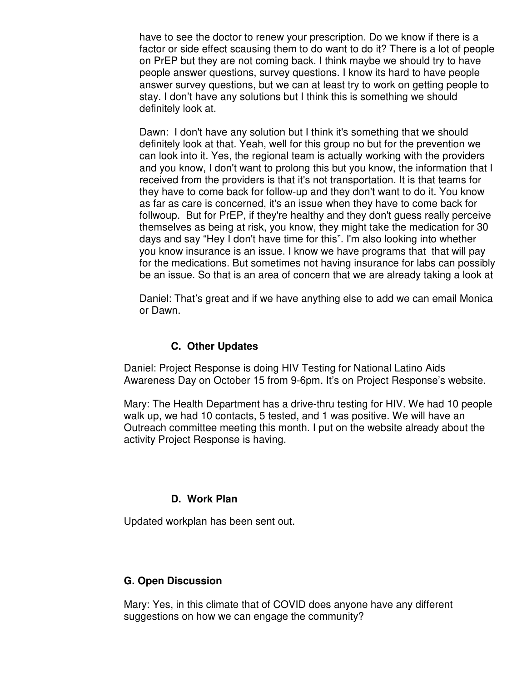have to see the doctor to renew your prescription. Do we know if there is a factor or side effect scausing them to do want to do it? There is a lot of people on PrEP but they are not coming back. I think maybe we should try to have people answer questions, survey questions. I know its hard to have people answer survey questions, but we can at least try to work on getting people to stay. I don't have any solutions but I think this is something we should definitely look at.

Dawn: I don't have any solution but I think it's something that we should definitely look at that. Yeah, well for this group no but for the prevention we can look into it. Yes, the regional team is actually working with the providers and you know, I don't want to prolong this but you know, the information that I received from the providers is that it's not transportation. It is that teams for they have to come back for follow-up and they don't want to do it. You know as far as care is concerned, it's an issue when they have to come back for follwoup. But for PrEP, if they're healthy and they don't guess really perceive themselves as being at risk, you know, they might take the medication for 30 days and say "Hey I don't have time for this". I'm also looking into whether you know insurance is an issue. I know we have programs that that will pay for the medications. But sometimes not having insurance for labs can possibly be an issue. So that is an area of concern that we are already taking a look at

Daniel: That's great and if we have anything else to add we can email Monica or Dawn.

#### **C. Other Updates**

Daniel: Project Response is doing HIV Testing for National Latino Aids Awareness Day on October 15 from 9-6pm. It's on Project Response's website.

Mary: The Health Department has a drive-thru testing for HIV. We had 10 people walk up, we had 10 contacts, 5 tested, and 1 was positive. We will have an Outreach committee meeting this month. I put on the website already about the activity Project Response is having.

## **D. Work Plan**

Updated workplan has been sent out.

## **G. Open Discussion**

Mary: Yes, in this climate that of COVID does anyone have any different suggestions on how we can engage the community?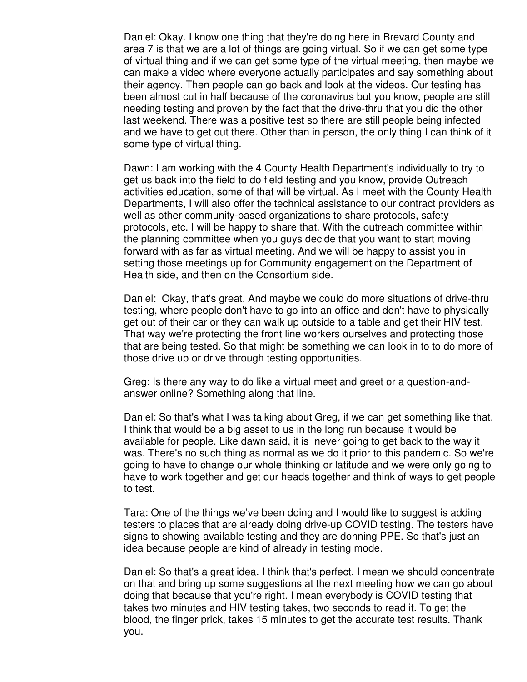Daniel: Okay. I know one thing that they're doing here in Brevard County and area 7 is that we are a lot of things are going virtual. So if we can get some type of virtual thing and if we can get some type of the virtual meeting, then maybe we can make a video where everyone actually participates and say something about their agency. Then people can go back and look at the videos. Our testing has been almost cut in half because of the coronavirus but you know, people are still needing testing and proven by the fact that the drive-thru that you did the other last weekend. There was a positive test so there are still people being infected and we have to get out there. Other than in person, the only thing I can think of it some type of virtual thing.

Dawn: I am working with the 4 County Health Department's individually to try to get us back into the field to do field testing and you know, provide Outreach activities education, some of that will be virtual. As I meet with the County Health Departments, I will also offer the technical assistance to our contract providers as well as other community-based organizations to share protocols, safety protocols, etc. I will be happy to share that. With the outreach committee within the planning committee when you guys decide that you want to start moving forward with as far as virtual meeting. And we will be happy to assist you in setting those meetings up for Community engagement on the Department of Health side, and then on the Consortium side.

Daniel: Okay, that's great. And maybe we could do more situations of drive-thru testing, where people don't have to go into an office and don't have to physically get out of their car or they can walk up outside to a table and get their HIV test. That way we're protecting the front line workers ourselves and protecting those that are being tested. So that might be something we can look in to to do more of those drive up or drive through testing opportunities.

Greg: Is there any way to do like a virtual meet and greet or a question-andanswer online? Something along that line.

Daniel: So that's what I was talking about Greg, if we can get something like that. I think that would be a big asset to us in the long run because it would be available for people. Like dawn said, it is never going to get back to the way it was. There's no such thing as normal as we do it prior to this pandemic. So we're going to have to change our whole thinking or latitude and we were only going to have to work together and get our heads together and think of ways to get people to test.

Tara: One of the things we've been doing and I would like to suggest is adding testers to places that are already doing drive-up COVID testing. The testers have signs to showing available testing and they are donning PPE. So that's just an idea because people are kind of already in testing mode.

Daniel: So that's a great idea. I think that's perfect. I mean we should concentrate on that and bring up some suggestions at the next meeting how we can go about doing that because that you're right. I mean everybody is COVID testing that takes two minutes and HIV testing takes, two seconds to read it. To get the blood, the finger prick, takes 15 minutes to get the accurate test results. Thank you.